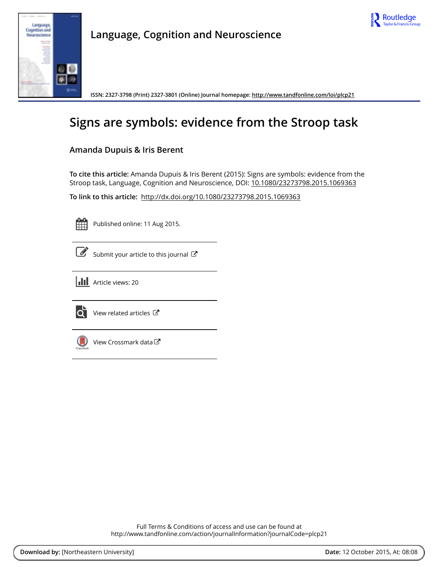



Language, Cognition and Neuroscience

ISSN: 2327-3798 (Print) 2327-3801 (Online) Journal homepage: http://www.tandfonline.com/loi/plcp21

# Signs are symbols: evidence from the Stroop task

# Amanda Dupuis & Iris Berent

To cite this article: Amanda Dupuis & Iris Berent (2015): Signs are symbols: evidence from the Stroop task, Language, Cognition and Neuroscience, DOI: 10.1080/23273798.2015.1069363

To link to this article: http://dx.doi.org/10.1080/23273798.2015.1069363

Published online: 11 Aug 2015.

 $\mathcal S$  Submit your article to this journal  $\mathbb S^{\bullet}$ 





View related articles C



View Crossmark data  $\sigma$ 

Full Terms & Conditions of access and use can be found at http://www.tandfonline.com/action/journalInformation?journalCode=plcp21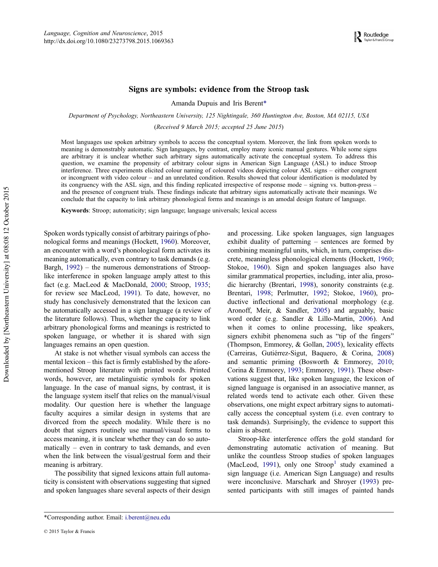# Signs are symbols: evidence from the Stroop task

Amanda Dupuis and Iris Berent\*

Department of Psychology, Northeastern University, 125 Nightingale, 360 Huntington Ave, Boston, MA 02115, USA

(Received 9 March 2015; accepted 25 June 2015)

Most languages use spoken arbitrary symbols to access the conceptual system. Moreover, the link from spoken words to meaning is demonstrably automatic. Sign languages, by contrast, employ many iconic manual gestures. While some signs are arbitrary it is unclear whether such arbitrary signs automatically activate the conceptual system. To address this question, we examine the propensity of arbitrary colour signs in American Sign Language (ASL) to induce Stroop interference. Three experiments elicited colour naming of coloured videos depicting colour ASL signs – either congruent or incongruent with video colour – and an unrelated condition. Results showed that colour identification is modulated by its congruency with the ASL sign, and this finding replicated irrespective of response mode – signing vs. button-press – and the presence of congruent trials. These findings indicate that arbitrary signs automatically activate their meanings. We conclude that the capacity to link arbitrary phonological forms and meanings is an amodal design feature of language.

Keywords: Stroop; automaticity; sign language; language universals; lexical access

Spoken words typically consist of arbitrary pairings of phonological forms and meanings (Hockett, 1960). Moreover, an encounter with a word's phonological form activates its meaning automatically, even contrary to task demands (e.g. Bargh, 1992) – the numerous demonstrations of Strooplike interference in spoken language amply attest to this fact (e.g. MacLeod & MacDonald, 2000; Stroop, 1935; for review see MacLeod, 1991). To date, however, no study has conclusively demonstrated that the lexicon can be automatically accessed in a sign language (a review of the literature follows). Thus, whether the capacity to link arbitrary phonological forms and meanings is restricted to spoken language, or whether it is shared with sign languages remains an open question.

At stake is not whether visual symbols can access the mental lexicon – this fact is firmly established by the aforementioned Stroop literature with printed words. Printed words, however, are metalinguistic symbols for spoken language. In the case of manual signs, by contrast, it is the language system itself that relies on the manual/visual modality. Our question here is whether the language faculty acquires a similar design in systems that are divorced from the speech modality. While there is no doubt that signers routinely use manual/visual forms to access meaning, it is unclear whether they can do so automatically – even in contrary to task demands, and even when the link between the visual/gestrual form and their meaning is arbitrary.

The possibility that signed lexicons attain full automaticity is consistent with observations suggesting that signed and spoken languages share several aspects of their design and processing. Like spoken languages, sign languages exhibit duality of patterning – sentences are formed by combining meaningful units, which, in turn, comprises discrete, meaningless phonological elements (Hockett, 1960; Stokoe, 1960). Sign and spoken languages also have similar grammatical properties, including, inter alia, prosodic hierarchy (Brentari, 1998), sonority constraints (e.g. Brentari, 1998; Perlmutter, 1992; Stokoe, 1960), productive inflectional and derivational morphology (e.g. Aronoff, Meir, & Sandler, 2005) and arguably, basic word order (e.g. Sandler & Lillo-Martin, 2006). And when it comes to online processing, like speakers, signers exhibit phenomena such as "tip of the fingers" (Thompson, Emmorey, & Gollan, 2005), lexicality effects (Carreiras, Gutiérrez-Sigut, Baquero, & Corina, 2008) and semantic priming (Bosworth & Emmorey, 2010; Corina & Emmorey, 1993; Emmorey, 1991). These observations suggest that, like spoken language, the lexicon of signed language is organised in an associative manner, as related words tend to activate each other. Given these observations, one might expect arbitrary signs to automatically access the conceptual system (i.e. even contrary to task demands). Surprisingly, the evidence to support this claim is absent.

Stroop-like interference offers the gold standard for demonstrating automatic activation of meaning. But unlike the countless Stroop studies of spoken languages (MacLeod, 1991), only one  $Strong<sup>1</sup>$  study examined a sign language (i.e. American Sign Language) and results were inconclusive. Marschark and Shroyer (1993) presented participants with still images of painted hands

<sup>\*</sup>Corresponding author. Email: i.berent@neu.edu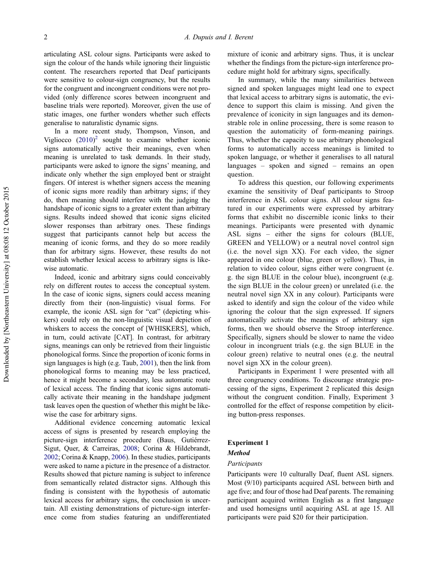articulating ASL colour signs. Participants were asked to sign the colour of the hands while ignoring their linguistic content. The researchers reported that Deaf participants were sensitive to colour-sign congruency, but the results for the congruent and incongruent conditions were not provided (only difference scores between incongruent and baseline trials were reported). Moreover, given the use of static images, one further wonders whether such effects generalise to naturalistic dynamic signs.

In a more recent study, Thompson, Vinson, and Vigliocco  $(2010)^2$  sought to examine whether iconic signs automatically active their meanings, even when meaning is unrelated to task demands. In their study, participants were asked to ignore the signs' meaning, and indicate only whether the sign employed bent or straight fingers. Of interest is whether signers access the meaning of iconic signs more readily than arbitrary signs; if they do, then meaning should interfere with the judging the handshape of iconic signs to a greater extent than arbitrary signs. Results indeed showed that iconic signs elicited slower responses than arbitrary ones. These findings suggest that participants cannot help but access the meaning of iconic forms, and they do so more readily than for arbitrary signs. However, these results do not establish whether lexical access to arbitrary signs is likewise automatic.

Indeed, iconic and arbitrary signs could conceivably rely on different routes to access the conceptual system. In the case of iconic signs, signers could access meaning directly from their (non-linguistic) visual forms. For example, the iconic ASL sign for "cat" (depicting whiskers) could rely on the non-linguistic visual depiction of whiskers to access the concept of [WHISKERS], which, in turn, could activate [CAT]. In contrast, for arbitrary signs, meanings can only be retrieved from their linguistic phonological forms. Since the proportion of iconic forms in sign languages is high (e.g. Taub, 2001), then the link from phonological forms to meaning may be less practiced, hence it might become a secondary, less automatic route of lexical access. The finding that iconic signs automatically activate their meaning in the handshape judgment task leaves open the question of whether this might be likewise the case for arbitrary signs.

Additional evidence concerning automatic lexical access of signs is presented by research employing the picture-sign interference procedure (Baus, Gutiérrez-Sigut, Quer, & Carreiras, 2008; Corina & Hildebrandt, 2002; Corina & Knapp, 2006). In these studies, participants were asked to name a picture in the presence of a distractor. Results showed that picture naming is subject to inference from semantically related distractor signs. Although this finding is consistent with the hypothesis of automatic lexical access for arbitrary signs, the conclusion is uncertain. All existing demonstrations of picture-sign interference come from studies featuring an undifferentiated mixture of iconic and arbitrary signs. Thus, it is unclear whether the findings from the picture-sign interference procedure might hold for arbitrary signs, specifically.

In summary, while the many similarities between signed and spoken languages might lead one to expect that lexical access to arbitrary signs is automatic, the evidence to support this claim is missing. And given the prevalence of iconicity in sign languages and its demonstrable role in online processing, there is some reason to question the automaticity of form-meaning pairings. Thus, whether the capacity to use arbitrary phonological forms to automatically access meanings is limited to spoken language, or whether it generalises to all natural languages – spoken and signed – remains an open question.

To address this question, our following experiments examine the sensitivity of Deaf participants to Stroop interference in ASL colour signs. All colour signs featured in our experiments were expressed by arbitrary forms that exhibit no discernible iconic links to their meanings. Participants were presented with dynamic ASL signs – either the signs for colours (BLUE, GREEN and YELLOW) or a neutral novel control sign (i.e. the novel sign XX). For each video, the signer appeared in one colour (blue, green or yellow). Thus, in relation to video colour, signs either were congruent (e. g. the sign BLUE in the colour blue), incongruent (e.g. the sign BLUE in the colour green) or unrelated (i.e. the neutral novel sign XX in any colour). Participants were asked to identify and sign the colour of the video while ignoring the colour that the sign expressed. If signers automatically activate the meanings of arbitrary sign forms, then we should observe the Stroop interference. Specifically, signers should be slower to name the video colour in incongruent trials (e.g. the sign BLUE in the colour green) relative to neutral ones (e.g. the neutral novel sign XX in the colour green).

Participants in Experiment 1 were presented with all three congruency conditions. To discourage strategic processing of the signs, Experiment 2 replicated this design without the congruent condition. Finally, Experiment 3 controlled for the effect of response competition by eliciting button-press responses.

# Experiment 1 Method

#### Participants

Participants were 10 culturally Deaf, fluent ASL signers. Most (9/10) participants acquired ASL between birth and age five; and four of those had Deaf parents. The remaining participant acquired written English as a first language and used homesigns until acquiring ASL at age 15. All participants were paid \$20 for their participation.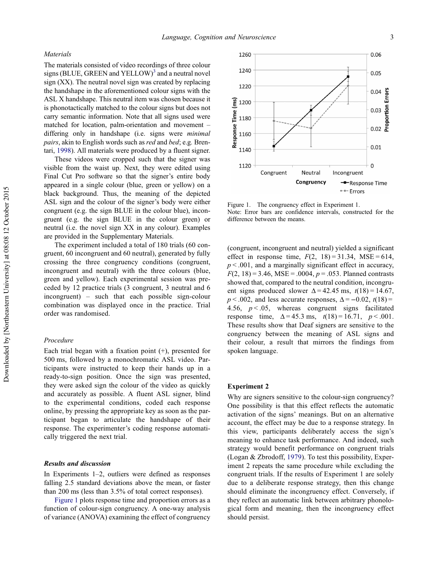# Materials

The materials consisted of video recordings of three colour signs (BLUE, GREEN and YELLOW)<sup>3</sup> and a neutral novel sign (XX). The neutral novel sign was created by replacing the handshape in the aforementioned colour signs with the ASL X handshape. This neutral item was chosen because it is phonotactically matched to the colour signs but does not carry semantic information. Note that all signs used were matched for location, palm-orientation and movement – differing only in handshape (i.e. signs were minimal pairs, akin to English words such as red and bed; e.g. Brentari, 1998). All materials were produced by a fluent signer.

These videos were cropped such that the signer was visible from the waist up. Next, they were edited using Final Cut Pro software so that the signer's entire body appeared in a single colour (blue, green or yellow) on a black background. Thus, the meaning of the depicted ASL sign and the colour of the signer's body were either congruent (e.g. the sign BLUE in the colour blue), incongruent (e.g. the sign BLUE in the colour green) or neutral (i.e. the novel sign XX in any colour). Examples are provided in the Supplementary Materials.

The experiment included a total of 180 trials (60 congruent, 60 incongruent and 60 neutral), generated by fully crossing the three congruency conditions (congruent, incongruent and neutral) with the three colours (blue, green and yellow). Each experimental session was preceded by 12 practice trials (3 congruent, 3 neutral and 6 incongruent) – such that each possible sign-colour combination was displayed once in the practice. Trial order was randomised.

# Procedure

Each trial began with a fixation point (+), presented for 500 ms, followed by a monochromatic ASL video. Participants were instructed to keep their hands up in a ready-to-sign position. Once the sign was presented, they were asked sign the colour of the video as quickly and accurately as possible. A fluent ASL signer, blind to the experimental conditions, coded each response online, by pressing the appropriate key as soon as the participant began to articulate the handshape of their response. The experimenter's coding response automatically triggered the next trial.

## Results and discussion

In Experiments 1–2, outliers were defined as responses falling 2.5 standard deviations above the mean, or faster than 200 ms (less than 3.5% of total correct responses).

Figure 1 plots response time and proportion errors as a function of colour-sign congruency. A one-way analysis of variance (ANOVA) examining the effect of congruency



Figure 1. The congruency effect in Experiment 1. Note: Error bars are confidence intervals, constructed for the difference between the means.

(congruent, incongruent and neutral) yielded a significant effect in response time,  $F(2, 18) = 31.34$ ,  $MSE = 614$ ,  $p < .001$ , and a marginally significant effect in accuracy,  $F(2, 18) = 3.46$ , MSE = .0004,  $p = .053$ . Planned contrasts showed that, compared to the neutral condition, incongruent signs produced slower  $\Delta = 42.45$  ms,  $t(18) = 14.67$ ,  $p < .002$ , and less accurate responses,  $\Delta = -0.02$ ,  $t(18) =$ 4.56,  $p < .05$ , whereas congruent signs facilitated response time,  $\Delta = 45.3$  ms,  $t(18) = 16.71$ ,  $p < .001$ . These results show that Deaf signers are sensitive to the congruency between the meaning of ASL signs and their colour, a result that mirrors the findings from spoken language.

# Experiment 2

Why are signers sensitive to the colour-sign congruency? One possibility is that this effect reflects the automatic activation of the signs' meanings. But on an alternative account, the effect may be due to a response strategy. In this view, participants deliberately access the sign's meaning to enhance task performance. And indeed, such strategy would benefit performance on congruent trials (Logan & Zbrodoff, 1979). To test this possibility, Experiment 2 repeats the same procedure while excluding the congruent trials. If the results of Experiment 1 are solely due to a deliberate response strategy, then this change should eliminate the incongruency effect. Conversely, if they reflect an automatic link between arbitrary phonological form and meaning, then the incongruency effect should persist.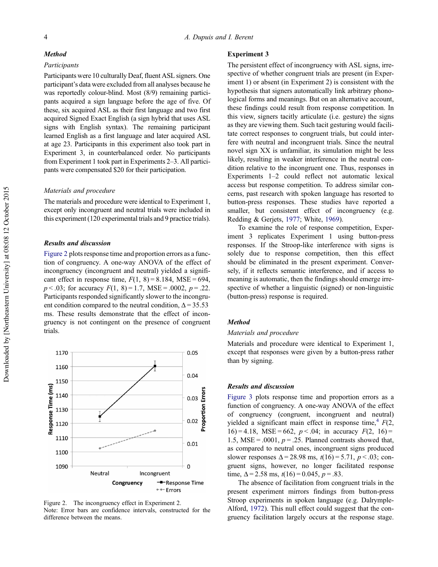#### Method

#### Participants

Participants were 10 culturally Deaf, fluent ASL signers. One participant's data were excluded from all analyses because he was reportedly colour-blind. Most (8/9) remaining participants acquired a sign language before the age of five. Of these, six acquired ASL as their first language and two first acquired Signed Exact English (a sign hybrid that uses ASL signs with English syntax). The remaining participant learned English as a first language and later acquired ASL at age 23. Participants in this experiment also took part in Experiment 3, in counterbalanced order. No participants from Experiment 1 took part in Experiments 2–3. All participants were compensated \$20 for their participation.

# Materials and procedure

The materials and procedure were identical to Experiment 1, except only incongruent and neutral trials were included in this experiment (120 experimental trials and 9 practice trials).

# Results and discussion

Figure 2 plots response time and proportion errors as a function of congruency. A one-way ANOVA of the effect of incongruency (incongruent and neutral) yielded a significant effect in response time,  $F(1, 8) = 8.184$ , MSE = 694,  $p < .03$ ; for accuracy  $F(1, 8) = 1.7$ , MSE = .0002,  $p = .22$ . Participants responded significantly slower to the incongruent condition compared to the neutral condition,  $\Delta$  = 35.53 ms. These results demonstrate that the effect of incongruency is not contingent on the presence of congruent trials.



Figure 2. The incongruency effect in Experiment 2. Note: Error bars are confidence intervals, constructed for the difference between the means.

# Experiment 3

The persistent effect of incongruency with ASL signs, irrespective of whether congruent trials are present (in Experiment 1) or absent (in Experiment 2) is consistent with the hypothesis that signers automatically link arbitrary phonological forms and meanings. But on an alternative account, these findings could result from response competition. In this view, signers tacitly articulate (i.e. gesture) the signs as they are viewing them. Such tacit gesturing would facilitate correct responses to congruent trials, but could interfere with neutral and incongruent trials. Since the neutral novel sign XX is unfamiliar, its simulation might be less likely, resulting in weaker interference in the neutral condition relative to the incongruent one. Thus, responses in Experiments 1–2 could reflect not automatic lexical access but response competition. To address similar concerns, past research with spoken language has resorted to button-press responses. These studies have reported a smaller, but consistent effect of incongruency (e.g. Redding & Gerjets, 1977; White, 1969).

To examine the role of response competition, Experiment 3 replicates Experiment 1 using button-press responses. If the Stroop-like interference with signs is solely due to response competition, then this effect should be eliminated in the present experiment. Conversely, if it reflects semantic interference, and if access to meaning is automatic, then the findings should emerge irrespective of whether a linguistic (signed) or non-linguistic (button-press) response is required.

## Method

#### Materials and procedure

Materials and procedure were identical to Experiment 1, except that responses were given by a button-press rather than by signing.

#### Results and discussion

Figure 3 plots response time and proportion errors as a function of congruency. A one-way ANOVA of the effect of congruency (congruent, incongruent and neutral) yielded a significant main effect in response time,  $F(2,$ 16) = 4.18, MSE = 662,  $p < .04$ ; in accuracy  $F(2, 16)$  = 1.5, MSE = .0001,  $p = 0.25$ . Planned contrasts showed that, as compared to neutral ones, incongruent signs produced slower responses  $\Delta = 28.98$  ms,  $t(16) = 5.71$ ,  $p < .03$ ; congruent signs, however, no longer facilitated response time,  $\Delta$  = 2.58 ms,  $t(16)$  = 0.045,  $p = .83$ .

The absence of facilitation from congruent trials in the present experiment mirrors findings from button-press Stroop experiments in spoken language (e.g. Dalrymple-Alford, 1972). This null effect could suggest that the congruency facilitation largely occurs at the response stage.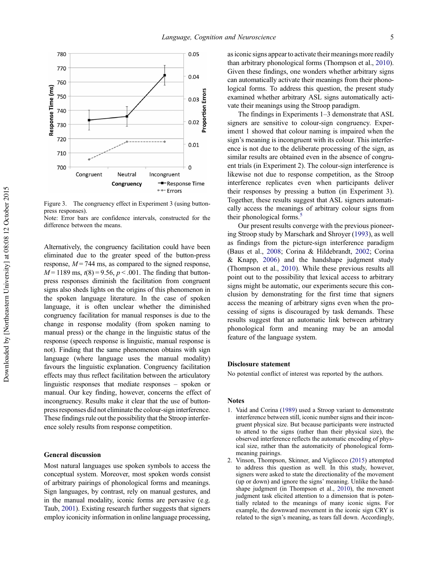

Figure 3. The congruency effect in Experiment 3 (using buttonpress responses).

Note: Error bars are confidence intervals, constructed for the difference between the means.

Alternatively, the congruency facilitation could have been eliminated due to the greater speed of the button-press response,  $M = 744$  ms, as compared to the signed response,  $M = 1189$  ms,  $t(8) = 9.56$ ,  $p < .001$ . The finding that buttonpress responses diminish the facilitation from congruent signs also sheds lights on the origins of this phenomenon in the spoken language literature. In the case of spoken language, it is often unclear whether the diminished congruency facilitation for manual responses is due to the change in response modality (from spoken naming to manual press) or the change in the linguistic status of the response (speech response is linguistic, manual response is not). Finding that the same phenomenon obtains with sign language (where language uses the manual modality) favours the linguistic explanation. Congruency facilitation effects may thus reflect facilitation between the articulatory linguistic responses that mediate responses – spoken or manual. Our key finding, however, concerns the effect of incongruency. Results make it clear that the use of buttonpress responses did not eliminate the colour-sign interference. These findings rule out the possibility that the Stroop interference solely results from response competition.

#### General discussion

Most natural languages use spoken symbols to access the conceptual system. Moreover, most spoken words consist of arbitrary pairings of phonological forms and meanings. Sign languages, by contrast, rely on manual gestures, and in the manual modality, iconic forms are pervasive (e.g. Taub, 2001). Existing research further suggests that signers employ iconicity information in online language processing, as iconic signs appear to activate their meanings more readily than arbitrary phonological forms (Thompson et al., 2010). Given these findings, one wonders whether arbitrary signs can automatically activate their meanings from their phonological forms. To address this question, the present study examined whether arbitrary ASL signs automatically activate their meanings using the Stroop paradigm.

The findings in Experiments 1–3 demonstrate that ASL signers are sensitive to colour-sign congruency. Experiment 1 showed that colour naming is impaired when the sign's meaning is incongruent with its colour. This interference is not due to the deliberate processing of the sign, as similar results are obtained even in the absence of congruent trials (in Experiment 2). The colour-sign interference is likewise not due to response competition, as the Stroop interference replicates even when participants deliver their responses by pressing a button (in Experiment 3). Together, these results suggest that ASL signers automatically access the meanings of arbitrary colour signs from their phonological forms.<sup>5</sup>

Our present results converge with the previous pioneering Stroop study by Marschark and Shroyer (1993), as well as findings from the picture-sign interference paradigm (Baus et al., 2008; Corina & Hildebrandt, 2002; Corina & Knapp, 2006) and the handshape judgment study (Thompson et al., 2010). While these previous results all point out to the possibility that lexical access to arbitrary signs might be automatic, our experiments secure this conclusion by demonstrating for the first time that signers access the meaning of arbitrary signs even when the processing of signs is discouraged by task demands. These results suggest that an automatic link between arbitrary phonological form and meaning may be an amodal feature of the language system.

#### Disclosure statement

No potential conflict of interest was reported by the authors.

# **Notes**

- 1. Vaid and Corina (1989) used a Stroop variant to demonstrate interference between still, iconic number signs and their incongruent physical size. But because participants were instructed to attend to the signs (rather than their physical size), the observed interference reflects the automatic encoding of physical size, rather than the automaticity of phonological formmeaning pairings.
- 2. Vinson, Thompson, Skinner, and Vigliocco (2015) attempted to address this question as well. In this study, however, signers were asked to state the directionality of the movement (up or down) and ignore the signs' meaning. Unlike the handshape judgment (in Thompson et al., 2010), the movement judgment task elicited attention to a dimension that is potentially related to the meanings of many iconic signs. For example, the downward movement in the iconic sign CRY is related to the sign's meaning, as tears fall down. Accordingly,